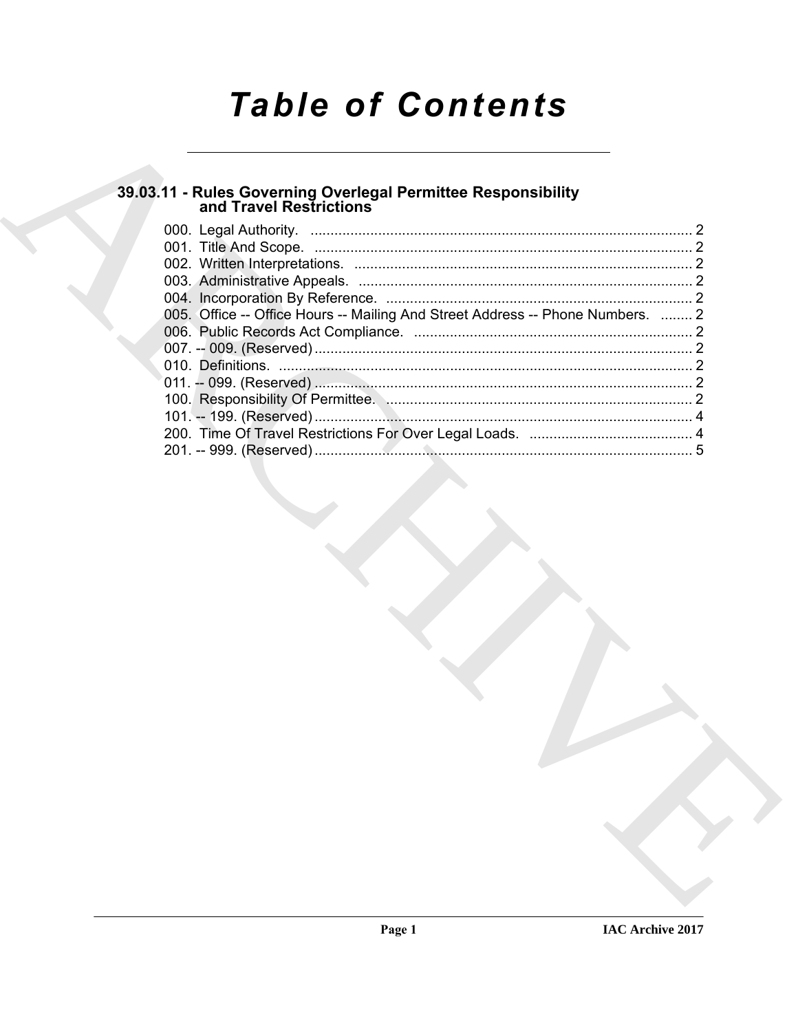# **Table of Contents**

## 39.03.11 - Rules Governing Overlegal Permittee Responsibility<br>and Travel Restrictions

| 005. Office -- Office Hours -- Mailing And Street Address -- Phone Numbers.  2 |  |
|--------------------------------------------------------------------------------|--|
|                                                                                |  |
|                                                                                |  |
|                                                                                |  |
|                                                                                |  |
|                                                                                |  |
|                                                                                |  |
|                                                                                |  |
|                                                                                |  |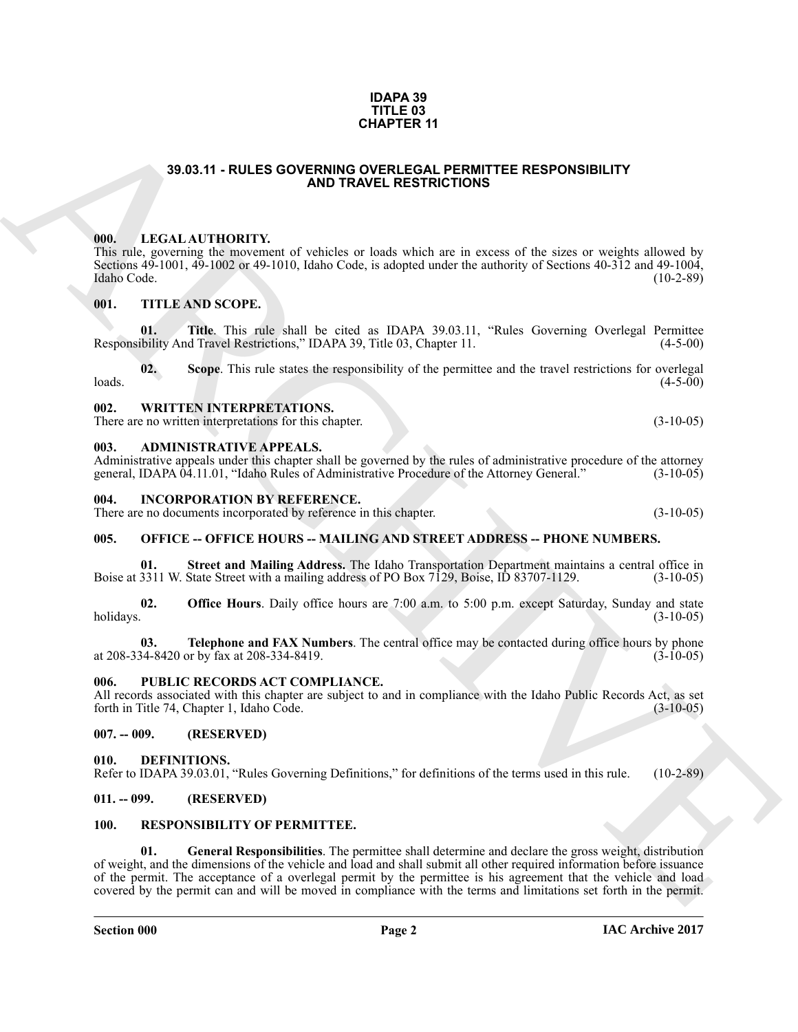#### **IDAPA 39 TITLE 03 CHAPTER 11**

#### **39.03.11 - RULES GOVERNING OVERLEGAL PERMITTEE RESPONSIBILITY AND TRAVEL RESTRICTIONS**

#### <span id="page-1-1"></span><span id="page-1-0"></span>**000. LEGAL AUTHORITY.**

This rule, governing the movement of vehicles or loads which are in excess of the sizes or weights allowed by Sections 49-1001, 49-1002 or 49-1010, Idaho Code, is adopted under the authority of Sections 40-312 and 49-1004, Idaho Code. (10-2-89) Idaho Code. (10-2-89)

#### <span id="page-1-2"></span>**001. TITLE AND SCOPE.**

**01.** Title. This rule shall be cited as IDAPA 39.03.11, "Rules Governing Overlegal Permittee ibility And Travel Restrictions," IDAPA 39, Title 03, Chapter 11. (4-5-00) Responsibility And Travel Restrictions," IDAPA 39, Title 03, Chapter 11.

**02.** Scope. This rule states the responsibility of the permittee and the travel restrictions for overlegal (4-5-00)  $\lambda$ loads.  $(4-5-00)$ 

#### <span id="page-1-3"></span>**002. WRITTEN INTERPRETATIONS.**

There are no written interpretations for this chapter. (3-10-05) (3-10-05)

#### <span id="page-1-4"></span>**003. ADMINISTRATIVE APPEALS.**

Administrative appeals under this chapter shall be governed by the rules of administrative procedure of the attorney general, IDAPA 04.11.01, "Idaho Rules of Administrative Procedure of the Attorney General." (3-10-05)

#### <span id="page-1-5"></span>**004. INCORPORATION BY REFERENCE.**

There are no documents incorporated by reference in this chapter. (3-10-05)

#### <span id="page-1-6"></span>**005. OFFICE -- OFFICE HOURS -- MAILING AND STREET ADDRESS -- PHONE NUMBERS.**

**01.** Street and Mailing Address. The Idaho Transportation Department maintains a central office in 3311 W. State Street with a mailing address of PO Box 7129, Boise, ID 83707-1129. (3-10-05) Boise at 3311 W. State Street with a mailing address of PO Box 7129, Boise, ID 83707-1129.

**02. Office Hours**. Daily office hours are 7:00 a.m. to 5:00 p.m. except Saturday, Sunday and state holidays. (3-10-05) holidays.  $(3-10-05)$ 

**03. Telephone and FAX Numbers**. The central office may be contacted during office hours by phone at 208-334-8420 or by fax at 208-334-8419. (3-10-05)

#### <span id="page-1-7"></span>**006. PUBLIC RECORDS ACT COMPLIANCE.**

All records associated with this chapter are subject to and in compliance with the Idaho Public Records Act, as set forth in Title 74, Chapter 1, Idaho Code. (3-10-05) forth in Title 74, Chapter 1, Idaho Code.

#### <span id="page-1-8"></span>**007. -- 009. (RESERVED)**

<span id="page-1-12"></span><span id="page-1-9"></span>**010. DEFINITIONS.**

Refer to IDAPA 39.03.01, "Rules Governing Definitions," for definitions of the terms used in this rule. (10-2-89)

#### <span id="page-1-10"></span>**011. -- 099. (RESERVED)**

#### <span id="page-1-14"></span><span id="page-1-13"></span><span id="page-1-11"></span>**100. RESPONSIBILITY OF PERMITTEE.**

**CHAPTER 11**<br> **CHAPTER 11**<br> **CHAPTER 1200 CONTROLLATEST COMPRODUCTY**<br> **CHAPTER 1200 CONTROLLATEST COMPRODUCT**<br> **CHAPTER 1200 CONTROLLATEST CONTROLLATEST CONTROLLATEST CONTROLLATEST CONTROLLATEST CONTROLLATEST CONTROLLATES 01. General Responsibilities**. The permittee shall determine and declare the gross weight, distribution of weight, and the dimensions of the vehicle and load and shall submit all other required information before issuance of the permit. The acceptance of a overlegal permit by the permittee is his agreement that the vehicle and load covered by the permit can and will be moved in compliance with the terms and limitations set forth in the permit.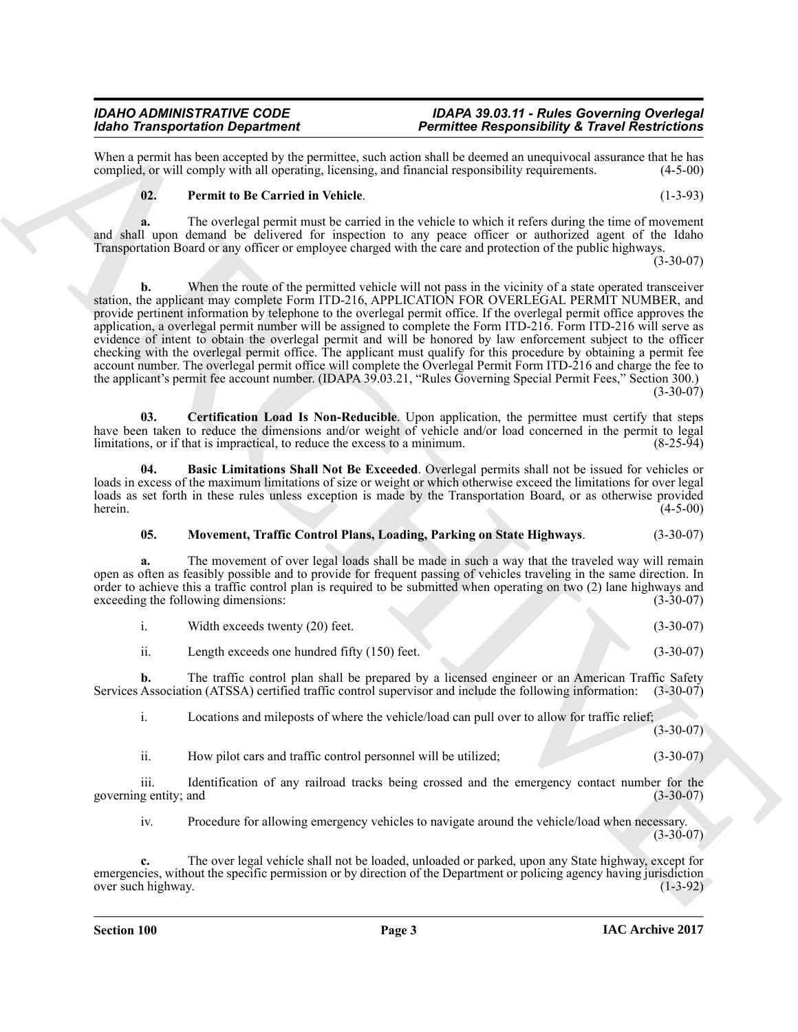When a permit has been accepted by the permittee, such action shall be deemed an unequivocal assurance that he has complied, or will comply with all operating, licensing, and financial responsibility requirements. (4-5-00) complied, or will comply with all operating, licensing, and financial responsibility requirements.

#### <span id="page-2-3"></span>**02. Permit to Be Carried in Vehicle**. (1-3-93)

**a.** The overlegal permit must be carried in the vehicle to which it refers during the time of movement and shall upon demand be delivered for inspection to any peace officer or authorized agent of the Idaho Transportation Board or any officer or employee charged with the care and protection of the public highways.

(3-30-07)

Mode Tarkington Chemical method has the main state of the main state of the main state of the state of the main state of the main state of the state of the state of the state of the state of the state of the state of the **b.** When the route of the permitted vehicle will not pass in the vicinity of a state operated transceiver station, the applicant may complete Form ITD-216, APPLICATION FOR OVERLEGAL PERMIT NUMBER, and provide pertinent information by telephone to the overlegal permit office. If the overlegal permit office approves the application, a overlegal permit number will be assigned to complete the Form ITD-216. Form ITD-216 will serve as evidence of intent to obtain the overlegal permit and will be honored by law enforcement subject to the officer checking with the overlegal permit office. The applicant must qualify for this procedure by obtaining a permit fee account number. The overlegal permit office will complete the Overlegal Permit Form ITD-216 and charge the fee to the applicant's permit fee account number. (IDAPA 39.03.21, "Rules Governing Special Permit Fees," Section 300.)  $(3-30-07)$ 

<span id="page-2-1"></span>**03. Certification Load Is Non-Reducible**. Upon application, the permittee must certify that steps have been taken to reduce the dimensions and/or weight of vehicle and/or load concerned in the permit to legal limitations, or if that is impractical, to reduce the excess to a minimum. limitations, or if that is impractical, to reduce the excess to a minimum.

**04. Basic Limitations Shall Not Be Exceeded**. Overlegal permits shall not be issued for vehicles or loads in excess of the maximum limitations of size or weight or which otherwise exceed the limitations for over legal loads as set forth in these rules unless exception is made by the Transportation Board, or as otherwise provided herein. herein.  $(4-5-00)$ 

### <span id="page-2-2"></span><span id="page-2-0"></span>**05. Movement, Traffic Control Plans, Loading, Parking on State Highways**. (3-30-07)

**a.** The movement of over legal loads shall be made in such a way that the traveled way will remain open as often as feasibly possible and to provide for frequent passing of vehicles traveling in the same direction. In order to achieve this a traffic control plan is required to be submitted when operating on two (2) lane highways and exceeding the following dimensions: (3-30-07) exceeding the following dimensions:

| Width exceeds twenty (20) feet. |  |  | $(3-30-07)$ |
|---------------------------------|--|--|-------------|
|---------------------------------|--|--|-------------|

ii. Length exceeds one hundred fifty (150) feet. (3-30-07)

**b.** The traffic control plan shall be prepared by a licensed engineer or an American Traffic Safety Services Association (ATSSA) certified traffic control supervisor and include the following information: (3-30-07)

i. Locations and mileposts of where the vehicle/load can pull over to allow for traffic relief;  $(3-30-07)$ 

ii. How pilot cars and traffic control personnel will be utilized; (3-30-07)

iii. Identification of any railroad tracks being crossed and the emergency contact number for the gentity; and (3-30-07) governing entity; and

iv. Procedure for allowing emergency vehicles to navigate around the vehicle/load when necessary.  $(3-30-07)$ 

**c.** The over legal vehicle shall not be loaded, unloaded or parked, upon any State highway, except for emergencies, without the specific permission or by direction of the Department or policing agency having jurisdiction over such highway. (1-3-92) over such highway.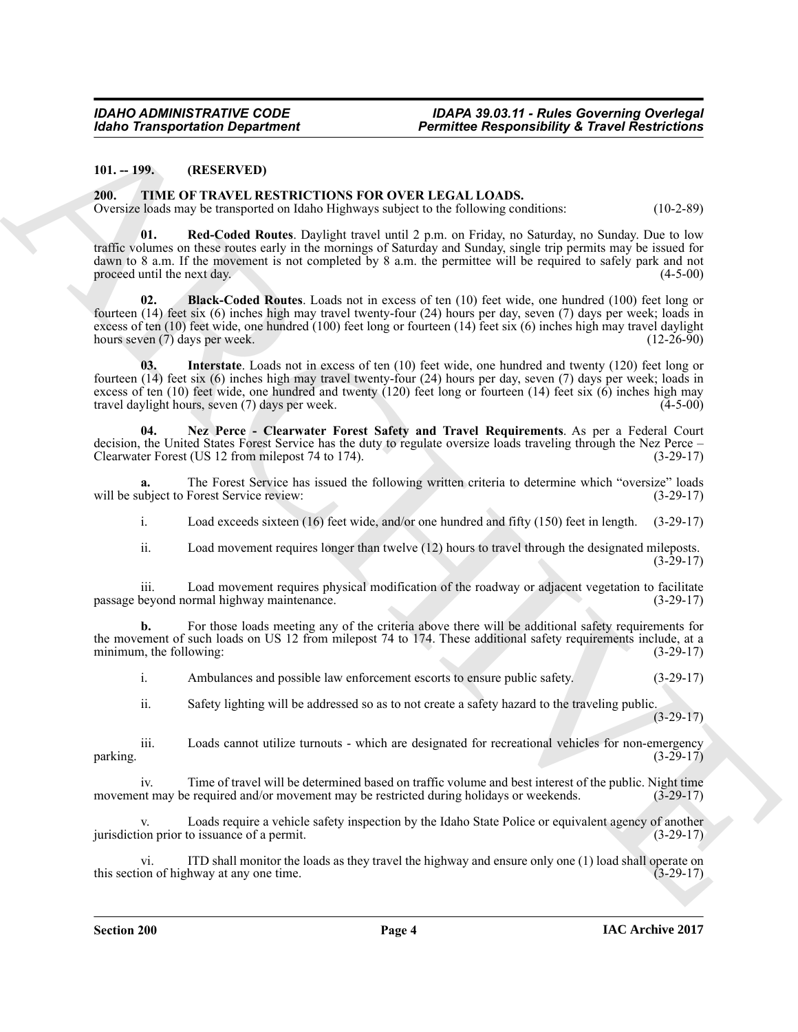#### <span id="page-3-0"></span>**101. -- 199. (RESERVED)**

#### <span id="page-3-2"></span><span id="page-3-1"></span>**200. TIME OF TRAVEL RESTRICTIONS FOR OVER LEGAL LOADS.**

<span id="page-3-6"></span>Oversize loads may be transported on Idaho Highways subject to the following conditions: (10-2-89)

Global Transportation Department<br>
10.199.<br>
10.199. (The LOS EVAN RESTRICTIONS POR OVER LEGAL LOADS,<br>
2011. The CHEMIC TRONS PROVIDED CONSULTIONS IN (1998)<br>
2013. (1998) Franchises (1998) Franchises (1998) Franchises (1998 **01. Red-Coded Routes**. Daylight travel until 2 p.m. on Friday, no Saturday, no Sunday. Due to low traffic volumes on these routes early in the mornings of Saturday and Sunday, single trip permits may be issued for dawn to 8 a.m. If the movement is not completed by 8 a.m. the permittee will be required to safely park and not proceed until the next day.  $(4-5-00)$ 

<span id="page-3-3"></span>**02. Black-Coded Routes**. Loads not in excess of ten (10) feet wide, one hundred (100) feet long or fourteen (14) feet six (6) inches high may travel twenty-four (24) hours per day, seven (7) days per week; loads in excess of ten (10) feet wide, one hundred (100) feet long or fourteen (14) feet six (6) inches high may travel daylight hours seven (7) days per week. (12-26-90)

<span id="page-3-4"></span>**03. Interstate**. Loads not in excess of ten (10) feet wide, one hundred and twenty (120) feet long or fourteen (14) feet six (6) inches high may travel twenty-four (24) hours per day, seven (7) days per week; loads in excess of ten (10) feet wide, one hundred and twenty (120) feet long or fourteen (14) feet six (6) inches high may travel daylight hours, seven (7) days per week. travel daylight hours, seven  $(7)$  days per week.

<span id="page-3-5"></span>**04. Nez Perce - Clearwater Forest Safety and Travel Requirements**. As per a Federal Court decision, the United States Forest Service has the duty to regulate oversize loads traveling through the Nez Perce –<br>Clearwater Forest (US 12 from milepost 74 to 174). (3-29-17) Clearwater Forest (US 12 from milepost 74 to 174).

**a.** The Forest Service has issued the following written criteria to determine which "oversize" loads ubject to Forest Service review: (3-29-17) will be subject to Forest Service review:

i. Load exceeds sixteen (16) feet wide, and/or one hundred and fifty (150) feet in length. (3-29-17)

ii. Load movement requires longer than twelve (12) hours to travel through the designated mileposts.  $(3-29-17)$ 

iii. Load movement requires physical modification of the roadway or adjacent vegetation to facilitate passage beyond normal highway maintenance.

**b.** For those loads meeting any of the criteria above there will be additional safety requirements for the movement of such loads on US 12 from milepost 74 to 174. These additional safety requirements include, at a minimum, the following: (3-29-17)

i. Ambulances and possible law enforcement escorts to ensure public safety. (3-29-17)

ii. Safety lighting will be addressed so as to not create a safety hazard to the traveling public. (3-29-17)

iii. Loads cannot utilize turnouts - which are designated for recreational vehicles for non-emergency (3-29-17)  $\mu$  parking. (3-29-17)

iv. Time of travel will be determined based on traffic volume and best interest of the public. Night time in the may be required and/or movement may be restricted during holidays or weekends. (3-29-17) movement may be required and/or movement may be restricted during holidays or weekends.

Loads require a vehicle safety inspection by the Idaho State Police or equivalent agency of another to issuance of a permit. (3-29-17) jurisdiction prior to issuance of a permit.

vi. ITD shall monitor the loads as they travel the highway and ensure only one (1) load shall operate on on of highway at any one time. this section of highway at any one time.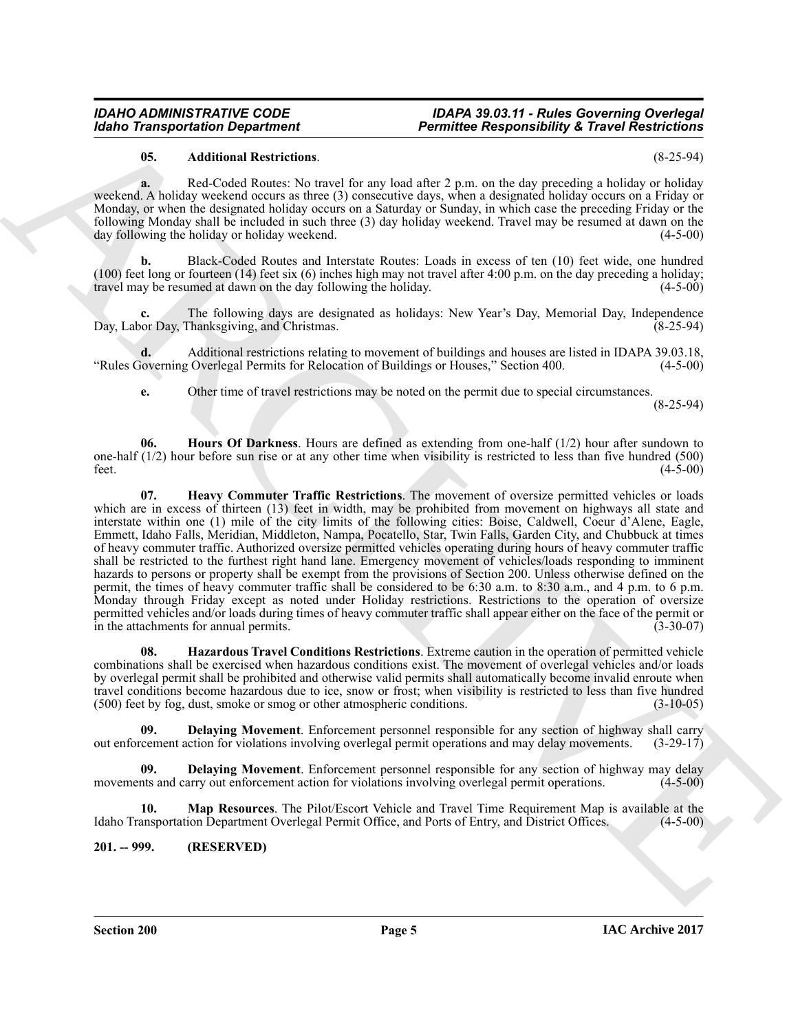#### *IDAHO ADMINISTRATIVE CODE IDAPA 39.03.11 - Rules Governing Overlegal Permittee Responsibility & Travel Restrictions*

#### <span id="page-4-1"></span>**05. Additional Restrictions**. (8-25-94)

**a.** Red-Coded Routes: No travel for any load after 2 p.m. on the day preceding a holiday or holiday weekend. A holiday weekend occurs as three (3) consecutive days, when a designated holiday occurs on a Friday or Monday, or when the designated holiday occurs on a Saturday or Sunday, in which case the preceding Friday or the following Monday shall be included in such three (3) day holiday weekend. Travel may be resumed at dawn on the day following the holiday or holiday weekend.

**b.** Black-Coded Routes and Interstate Routes: Loads in excess of ten (10) feet wide, one hundred (100) feet long or fourteen (14) feet six (6) inches high may not travel after 4:00 p.m. on the day preceding a holiday; travel may be resumed at dawn on the day following the holiday. (4-5-00)

**c.** The following days are designated as holidays: New Year's Day, Memorial Day, Independence or Day, Thanksgiving, and Christmas. Day, Labor Day, Thanksgiving, and Christmas.

**d.** Additional restrictions relating to movement of buildings and houses are listed in IDAPA 39.03.18, Noverning Overlegal Permits for Relocation of Buildings or Houses," Section 400. "Rules Governing Overlegal Permits for Relocation of Buildings or Houses," Section 400.

<span id="page-4-5"></span>**e.** Other time of travel restrictions may be noted on the permit due to special circumstances.

(8-25-94)

<span id="page-4-4"></span>**06. Hours Of Darkness**. Hours are defined as extending from one-half (1/2) hour after sundown to one-half (1/2) hour before sun rise or at any other time when visibility is restricted to less than five hundred (500) feet.  $(4-5-00)$ 

**Extra Construction Department 11. Extra Construction Construction Construction Construction Construction Construction Construction Construction Construction Construction Construction Construction Construction Construc 07. Heavy Commuter Traffic Restrictions**. The movement of oversize permitted vehicles or loads which are in excess of thirteen (13) feet in width, may be prohibited from movement on highways all state and interstate within one (1) mile of the city limits of the following cities: Boise, Caldwell, Coeur d'Alene, Eagle, Emmett, Idaho Falls, Meridian, Middleton, Nampa, Pocatello, Star, Twin Falls, Garden City, and Chubbuck at times of heavy commuter traffic. Authorized oversize permitted vehicles operating during hours of heavy commuter traffic shall be restricted to the furthest right hand lane. Emergency movement of vehicles/loads responding to imminent hazards to persons or property shall be exempt from the provisions of Section 200. Unless otherwise defined on the permit, the times of heavy commuter traffic shall be considered to be 6:30 a.m. to 8:30 a.m., and 4 p.m. to 6 p.m. Monday through Friday except as noted under Holiday restrictions. Restrictions to the operation of oversize permitted vehicles and/or loads during times of heavy commuter traffic shall appear either on the face of the permit or in the attachments for annual permits. (3-30-07)

<span id="page-4-3"></span>**08. Hazardous Travel Conditions Restrictions**. Extreme caution in the operation of permitted vehicle combinations shall be exercised when hazardous conditions exist. The movement of overlegal vehicles and/or loads by overlegal permit shall be prohibited and otherwise valid permits shall automatically become invalid enroute when travel conditions become hazardous due to ice, snow or frost; when visibility is restricted to less than five hundred (500) feet by fog, dust, smoke or smog or other atmospheric conditions. (3-10-05)

<span id="page-4-2"></span>**09. Delaying Movement**. Enforcement personnel responsible for any section of highway shall carry cement action for violations involving overlegal permit operations and may delay movements. (3-29-17) out enforcement action for violations involving overlegal permit operations and may delay movements.

**Delaying Movement**. Enforcement personnel responsible for any section of highway may delay movements and carry out enforcement action for violations involving overlegal permit operations. (4-5-00)

<span id="page-4-6"></span>**10. Map Resources**. The Pilot/Escort Vehicle and Travel Time Requirement Map is available at the Idaho Transportation Department Overlegal Permit Office, and Ports of Entry, and District Offices. (4-5-00)

<span id="page-4-0"></span>**201. -- 999. (RESERVED)**